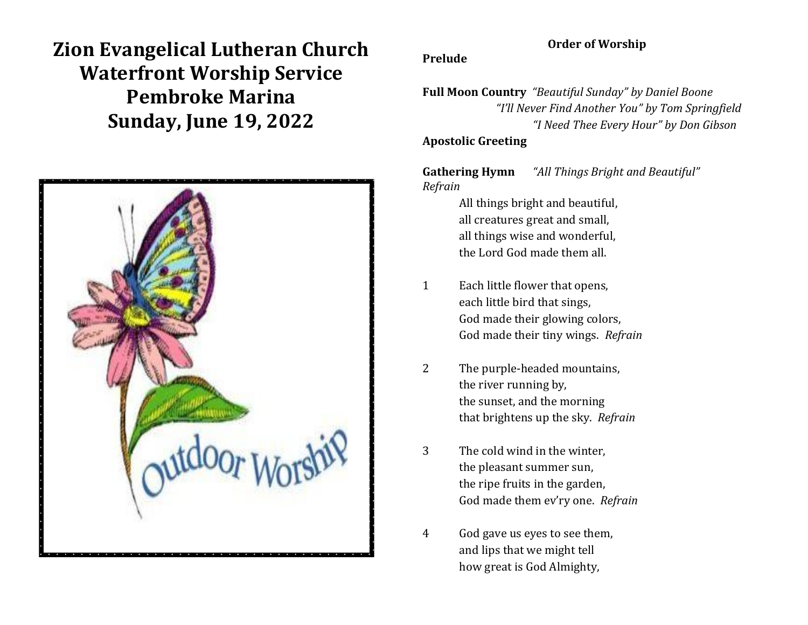**Zion Evangelical Lutheran Church Waterfront Worship Service Pembroke Marina Sunday, June 19, 2022**



### **Order of Worship**

#### **Prelude**

**Full Moon Country** *"Beautiful Sunday" by Daniel Boone "I'll Never Find Another You" by Tom Springfield "I Need Thee Every Hour" by Don Gibson*

### **Apostolic Greeting**

**Gathering Hymn** *"All Things Bright and Beautiful" Refrain*

> All things bright and beautiful, all creatures great and small, all things wise and wonderful, the Lord God made them all.

- 1 Each little flower that opens, each little bird that sings, God made their glowing colors, God made their tiny wings. *Refrain*
- 2 The purple-headed mountains, the river running by, the sunset, and the morning that brightens up the sky. *Refrain*
- 3 The cold wind in the winter, the pleasant summer sun, the ripe fruits in the garden, God made them ev'ry one. *Refrain*
- 4 God gave us eyes to see them, and lips that we might tell how great is God Almighty,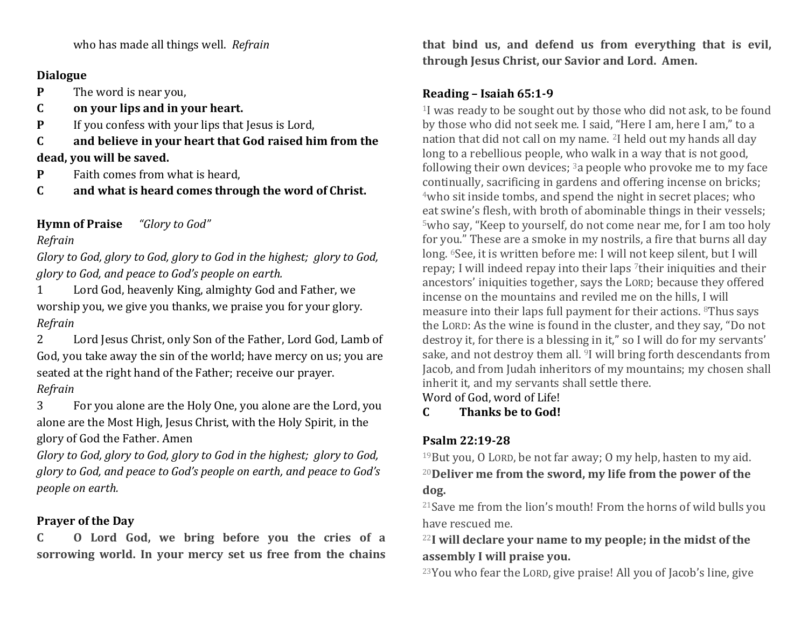who has made all things well. *Refrain*

### **Dialogue**

**P** The word is near you,

- **C on your lips and in your heart.**
- **P** If you confess with your lips that Jesus is Lord,
- **C and believe in your heart that God raised him from the dead, you will be saved.**
- **P** Faith comes from what is heard,
- **C and what is heard comes through the word of Christ.**

**Hymn of Praise** *"Glory to God"*

## *Refrain*

*Glory to God, glory to God, glory to God in the highest; glory to God, glory to God, and peace to God's people on earth.*

1 Lord God, heavenly King, almighty God and Father, we worship you, we give you thanks, we praise you for your glory. *Refrain*

2 Lord Jesus Christ, only Son of the Father, Lord God, Lamb of God, you take away the sin of the world; have mercy on us; you are seated at the right hand of the Father; receive our prayer. *Refrain*

3 For you alone are the Holy One, you alone are the Lord, you alone are the Most High, Jesus Christ, with the Holy Spirit, in the glory of God the Father. Amen

*Glory to God, glory to God, glory to God in the highest; glory to God, glory to God, and peace to God's people on earth, and peace to God's people on earth.*

# **Prayer of the Day**

**C O Lord God, we bring before you the cries of a sorrowing world. In your mercy set us free from the chains**  **that bind us, and defend us from everything that is evil, through Jesus Christ, our Savior and Lord. Amen.**

## **Reading – Isaiah 65:1-9**

<sup>1</sup>I was ready to be sought out by those who did not ask, to be found by those who did not seek me. I said, "Here I am, here I am," to a nation that did not call on my name. <sup>2</sup>I held out my hands all day long to a rebellious people, who walk in a way that is not good, following their own devices;  $3a$  people who provoke me to my face continually, sacrificing in gardens and offering incense on bricks; <sup>4</sup>who sit inside tombs, and spend the night in secret places; who eat swine's flesh, with broth of abominable things in their vessels; <sup>5</sup>who say, "Keep to yourself, do not come near me, for I am too holy for you." These are a smoke in my nostrils, a fire that burns all day long. <sup>6</sup>See, it is written before me: I will not keep silent, but I will repay; I will indeed repay into their laps <sup>7</sup>their iniquities and their ancestors' iniquities together, says the LORD; because they offered incense on the mountains and reviled me on the hills, I will measure into their laps full payment for their actions. <sup>8</sup>Thus says the LORD: As the wine is found in the cluster, and they say, "Do not destroy it, for there is a blessing in it," so I will do for my servants' sake, and not destroy them all. <sup>9</sup>I will bring forth descendants from Jacob, and from Judah inheritors of my mountains; my chosen shall inherit it, and my servants shall settle there.

Word of God, word of Life!

## **C Thanks be to God!**

# **Psalm 22:19-28**

<sup>19</sup>But you, O LORD, be not far away; O my help, hasten to my aid. <sup>20</sup>**Deliver me from the sword, my life from the power of the dog.**

<sup>21</sup>Save me from the lion's mouth! From the horns of wild bulls you have rescued me.

<sup>22</sup>**I will declare your name to my people; in the midst of the assembly I will praise you.**

<sup>23</sup>You who fear the LORD, give praise! All you of Jacob's line, give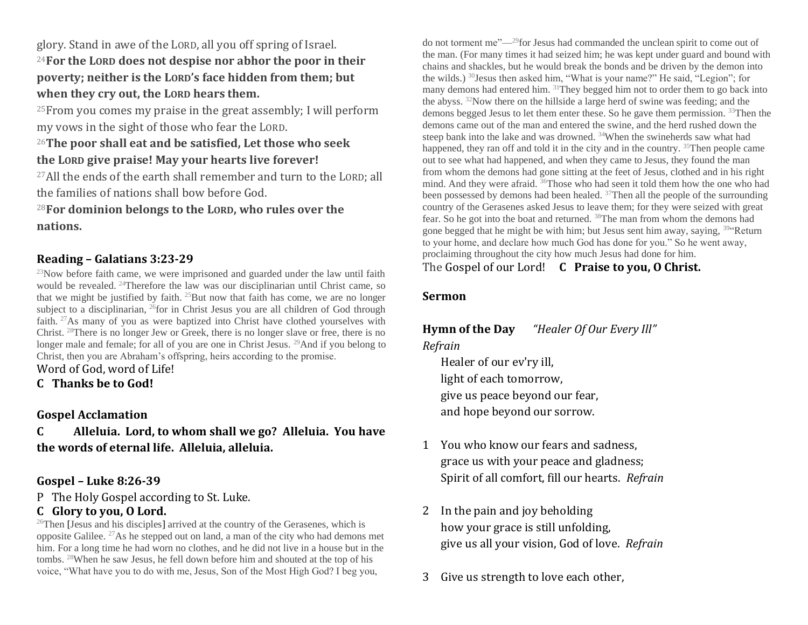glory. Stand in awe of the LORD, all you off spring of Israel. <sup>24</sup>**For the LORD does not despise nor abhor the poor in their poverty; neither is the LORD's face hidden from them; but when they cry out, the LORD hears them.**

<sup>25</sup>From you comes my praise in the great assembly; I will perform my vows in the sight of those who fear the LORD.

## <sup>26</sup>**The poor shall eat and be satisfied, Let those who seek the LORD give praise! May your hearts live forever!**

<sup>27</sup>All the ends of the earth shall remember and turn to the LORD; all the families of nations shall bow before God.

<sup>28</sup>**For dominion belongs to the LORD, who rules over the nations.**

### **Reading – Galatians 3:23-29**

 $23$ Now before faith came, we were imprisoned and guarded under the law until faith would be revealed. <sup>24</sup>Therefore the law was our disciplinarian until Christ came, so that we might be justified by faith.  $^{25}$ But now that faith has come, we are no longer subject to a disciplinarian, <sup>26</sup>for in Christ Jesus you are all children of God through faith. <sup>27</sup>As many of you as were baptized into Christ have clothed yourselves with Christ. <sup>28</sup>There is no longer Jew or Greek, there is no longer slave or free, there is no longer male and female; for all of you are one in Christ Jesus. <sup>29</sup>And if you belong to Christ, then you are Abraham's offspring, heirs according to the promise.

Word of God, word of Life!

**C Thanks be to God!**

### **Gospel Acclamation**

**C Alleluia. Lord, to whom shall we go? Alleluia. You have the words of eternal life. Alleluia, alleluia.**

### **Gospel – Luke 8:26-39**

P The Holy Gospel according to St. Luke.

## **C Glory to you, O Lord.**

 $^{26}$ Then [Jesus and his disciples] arrived at the country of the Gerasenes, which is opposite Galilee. <sup>27</sup>As he stepped out on land, a man of the city who had demons met him. For a long time he had worn no clothes, and he did not live in a house but in the tombs. <sup>28</sup>When he saw Jesus, he fell down before him and shouted at the top of his voice, "What have you to do with me, Jesus, Son of the Most High God? I beg you,

do not torment me"—<sup>29</sup>for Jesus had commanded the unclean spirit to come out of the man. (For many times it had seized him; he was kept under guard and bound with chains and shackles, but he would break the bonds and be driven by the demon into the wilds.) <sup>30</sup>Jesus then asked him, "What is your name?" He said, "Legion"; for many demons had entered him. <sup>31</sup>They begged him not to order them to go back into the abyss. <sup>32</sup>Now there on the hillside a large herd of swine was feeding; and the demons begged Jesus to let them enter these. So he gave them permission. <sup>33</sup>Then the demons came out of the man and entered the swine, and the herd rushed down the steep bank into the lake and was drowned. <sup>34</sup>When the swineherds saw what had happened, they ran off and told it in the city and in the country. <sup>35</sup>Then people came out to see what had happened, and when they came to Jesus, they found the man from whom the demons had gone sitting at the feet of Jesus, clothed and in his right mind. And they were afraid. <sup>36</sup>Those who had seen it told them how the one who had been possessed by demons had been healed. <sup>37</sup>Then all the people of the surrounding country of the Gerasenes asked Jesus to leave them; for they were seized with great fear. So he got into the boat and returned. <sup>38</sup>The man from whom the demons had gone begged that he might be with him; but Jesus sent him away, saying,  $394$ Return to your home, and declare how much God has done for you." So he went away, proclaiming throughout the city how much Jesus had done for him. The Gospel of our Lord! **C Praise to you, O Christ.** 

### **Sermon**

# **Hymn of the Day** *"Healer Of Our Every Ill" Refrain*

Healer of our ev'ry ill, light of each tomorrow, give us peace beyond our fear, and hope beyond our sorrow.

- 1 You who know our fears and sadness, grace us with your peace and gladness; Spirit of all comfort, fill our hearts. *Refrain*
- 2 In the pain and joy beholding how your grace is still unfolding, give us all your vision, God of love. *Refrain*
- 3 Give us strength to love each other,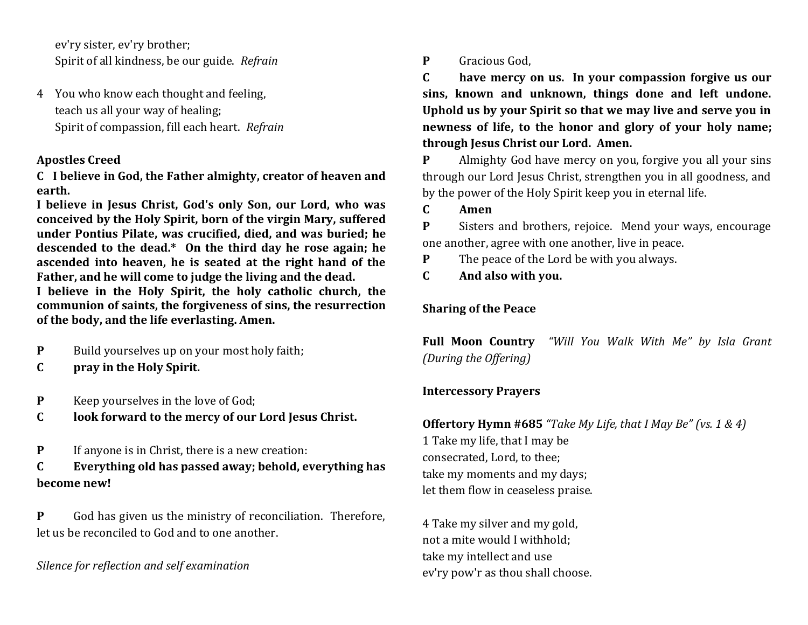ev'ry sister, ev'ry brother; Spirit of all kindness, be our guide. *Refrain*

4 You who know each thought and feeling, teach us all your way of healing; Spirit of compassion, fill each heart. *Refrain*

## **Apostles Creed**

**C I believe in God, the Father almighty, creator of heaven and earth.**

**I believe in Jesus Christ, God's only Son, our Lord, who was conceived by the Holy Spirit, born of the virgin Mary, suffered under Pontius Pilate, was crucified, died, and was buried; he descended to the dead.\* On the third day he rose again; he ascended into heaven, he is seated at the right hand of the Father, and he will come to judge the living and the dead. I believe in the Holy Spirit, the holy catholic church, the communion of saints, the forgiveness of sins, the resurrection of the body, and the life everlasting. Amen.**

- **P** Build yourselves up on your most holy faith;
- **C pray in the Holy Spirit.**
- **P** Keep yourselves in the love of God;
- **C look forward to the mercy of our Lord Jesus Christ.**
- **P** If anyone is in Christ, there is a new creation:
- **C Everything old has passed away; behold, everything has become new!**

**P** God has given us the ministry of reconciliation. Therefore, let us be reconciled to God and to one another.

*Silence for reflection and self examination*

**P** Gracious God,

**C have mercy on us. In your compassion forgive us our sins, known and unknown, things done and left undone. Uphold us by your Spirit so that we may live and serve you in newness of life, to the honor and glory of your holy name; through Jesus Christ our Lord. Amen.**

**P** Almighty God have mercy on you, forgive you all your sins through our Lord Jesus Christ, strengthen you in all goodness, and by the power of the Holy Spirit keep you in eternal life.

**C Amen**

**P** Sisters and brothers, rejoice. Mend your ways, encourage one another, agree with one another, live in peace.

- **P** The peace of the Lord be with you always.
- **C And also with you.**

# **Sharing of the Peace**

**Full Moon Country** *"Will You Walk With Me" by Isla Grant (During the Offering)*

# **Intercessory Prayers**

## **Offertory Hymn #685** *"Take My Life, that I May Be" (vs. 1 & 4)* 1 Take my life, that I may be consecrated, Lord, to thee; take my moments and my days; let them flow in ceaseless praise.

4 Take my silver and my gold, not a mite would I withhold; take my intellect and use ev'ry pow'r as thou shall choose.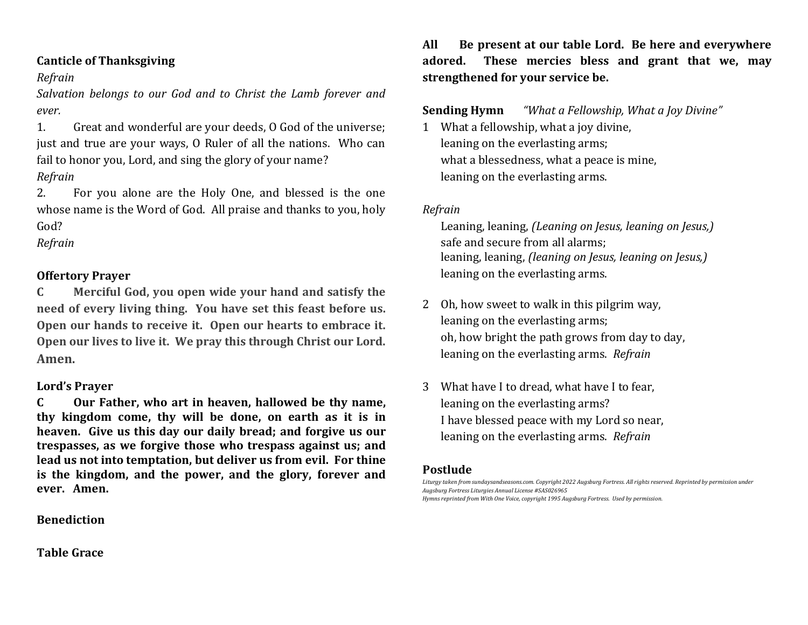### **Canticle of Thanksgiving**

### *Refrain*

*Salvation belongs to our God and to Christ the Lamb forever and ever.* 

1. Great and wonderful are your deeds, O God of the universe; just and true are your ways, O Ruler of all the nations. Who can fail to honor you, Lord, and sing the glory of your name?

## *Refrain*

2. For you alone are the Holy One, and blessed is the one whose name is the Word of God. All praise and thanks to you, holy God?

## *Refrain*

## **Offertory Prayer**

**C Merciful God, you open wide your hand and satisfy the need of every living thing. You have set this feast before us. Open our hands to receive it. Open our hearts to embrace it. Open our lives to live it. We pray this through Christ our Lord. Amen.**

### **Lord's Prayer**

**C Our Father, who art in heaven, hallowed be thy name, thy kingdom come, thy will be done, on earth as it is in heaven. Give us this day our daily bread; and forgive us our trespasses, as we forgive those who trespass against us; and lead us not into temptation, but deliver us from evil. For thine is the kingdom, and the power, and the glory, forever and ever. Amen.**

### **Benediction**

### **Table Grace**

**All Be present at our table Lord. Be here and everywhere adored. These mercies bless and grant that we, may strengthened for your service be.**

## **Sending Hymn** *"What a Fellowship, What a Joy Divine"*

1 What a fellowship, what a joy divine, leaning on the everlasting arms; what a blessedness, what a peace is mine, leaning on the everlasting arms.

### *Refrain*

Leaning, leaning, *(Leaning on Jesus, leaning on Jesus,)* safe and secure from all alarms; leaning, leaning, *(leaning on Jesus, leaning on Jesus,)* leaning on the everlasting arms.

- 2 Oh, how sweet to walk in this pilgrim way, leaning on the everlasting arms; oh, how bright the path grows from day to day, leaning on the everlasting arms. *Refrain*
- 3 What have I to dread, what have I to fear, leaning on the everlasting arms? I have blessed peace with my Lord so near, leaning on the everlasting arms. *Refrain*

### **Postlude**

*Liturgy taken from sundaysandseasons.com. Copyright 2022 Augsburg Fortress. All rights reserved. Reprinted by permission under Augsburg Fortress Liturgies Annual License #SAS026965 Hymns reprinted from With One Voice, copyright 1995 Augsburg Fortress. Used by permission.*